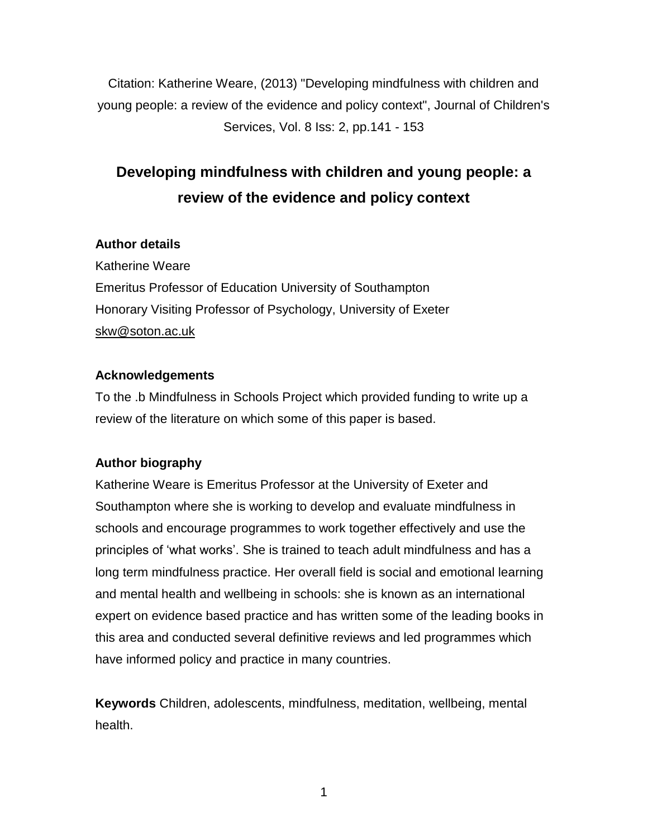Citation: Katherine Weare, (2013) "Developing mindfulness with children and young people: a review of the evidence and policy context", Journal of Children's Services, Vol. 8 Iss: 2, pp.141 - 153

# **Developing mindfulness with children and young people: a review of the evidence and policy context**

# **Author details**

Katherine Weare Emeritus Professor of Education University of Southampton Honorary Visiting Professor of Psychology, University of Exeter [skw@soton.ac.uk](mailto:skw@soton.ac.uk)

# **Acknowledgements**

To the .b Mindfulness in Schools Project which provided funding to write up a review of the literature on which some of this paper is based.

# **Author biography**

Katherine Weare is Emeritus Professor at the University of Exeter and Southampton where she is working to develop and evaluate mindfulness in schools and encourage programmes to work together effectively and use the principles of 'what works'. She is trained to teach adult mindfulness and has a long term mindfulness practice. Her overall field is social and emotional learning and mental health and wellbeing in schools: she is known as an international expert on evidence based practice and has written some of the leading books in this area and conducted several definitive reviews and led programmes which have informed policy and practice in many countries.

**Keywords** Children, adolescents, mindfulness, meditation, wellbeing, mental health.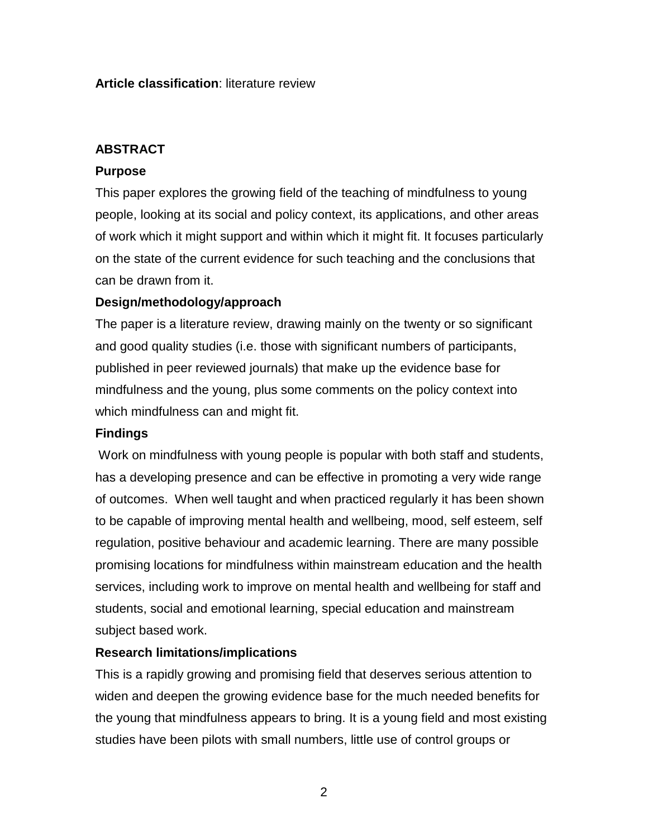# **Article classification**: literature review

# **ABSTRACT**

### **Purpose**

This paper explores the growing field of the teaching of mindfulness to young people, looking at its social and policy context, its applications, and other areas of work which it might support and within which it might fit. It focuses particularly on the state of the current evidence for such teaching and the conclusions that can be drawn from it.

# **Design/methodology/approach**

The paper is a literature review, drawing mainly on the twenty or so significant and good quality studies (i.e. those with significant numbers of participants, published in peer reviewed journals) that make up the evidence base for mindfulness and the young, plus some comments on the policy context into which mindfulness can and might fit.

# **Findings**

Work on mindfulness with young people is popular with both staff and students, has a developing presence and can be effective in promoting a very wide range of outcomes. When well taught and when practiced regularly it has been shown to be capable of improving mental health and wellbeing, mood, self esteem, self regulation, positive behaviour and academic learning. There are many possible promising locations for mindfulness within mainstream education and the health services, including work to improve on mental health and wellbeing for staff and students, social and emotional learning, special education and mainstream subject based work.

# **Research limitations/implications**

This is a rapidly growing and promising field that deserves serious attention to widen and deepen the growing evidence base for the much needed benefits for the young that mindfulness appears to bring. It is a young field and most existing studies have been pilots with small numbers, little use of control groups or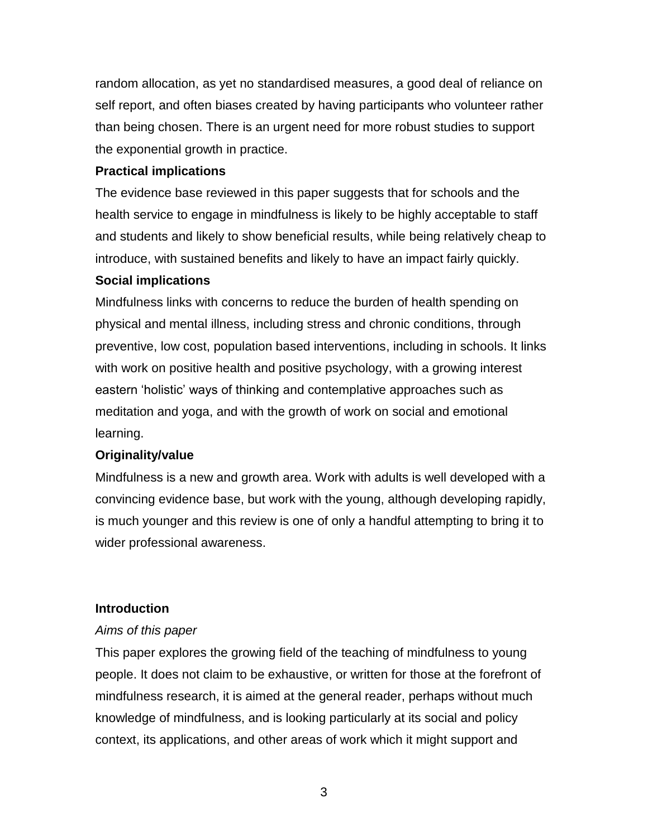random allocation, as yet no standardised measures, a good deal of reliance on self report, and often biases created by having participants who volunteer rather than being chosen. There is an urgent need for more robust studies to support the exponential growth in practice.

# **Practical implications**

The evidence base reviewed in this paper suggests that for schools and the health service to engage in mindfulness is likely to be highly acceptable to staff and students and likely to show beneficial results, while being relatively cheap to introduce, with sustained benefits and likely to have an impact fairly quickly.

# **Social implications**

Mindfulness links with concerns to reduce the burden of health spending on physical and mental illness, including stress and chronic conditions, through preventive, low cost, population based interventions, including in schools. It links with work on positive health and positive psychology, with a growing interest eastern 'holistic' ways of thinking and contemplative approaches such as meditation and yoga, and with the growth of work on social and emotional learning.

# **Originality/value**

Mindfulness is a new and growth area. Work with adults is well developed with a convincing evidence base, but work with the young, although developing rapidly, is much younger and this review is one of only a handful attempting to bring it to wider professional awareness.

# **Introduction**

# *Aims of this paper*

This paper explores the growing field of the teaching of mindfulness to young people. It does not claim to be exhaustive, or written for those at the forefront of mindfulness research, it is aimed at the general reader, perhaps without much knowledge of mindfulness, and is looking particularly at its social and policy context, its applications, and other areas of work which it might support and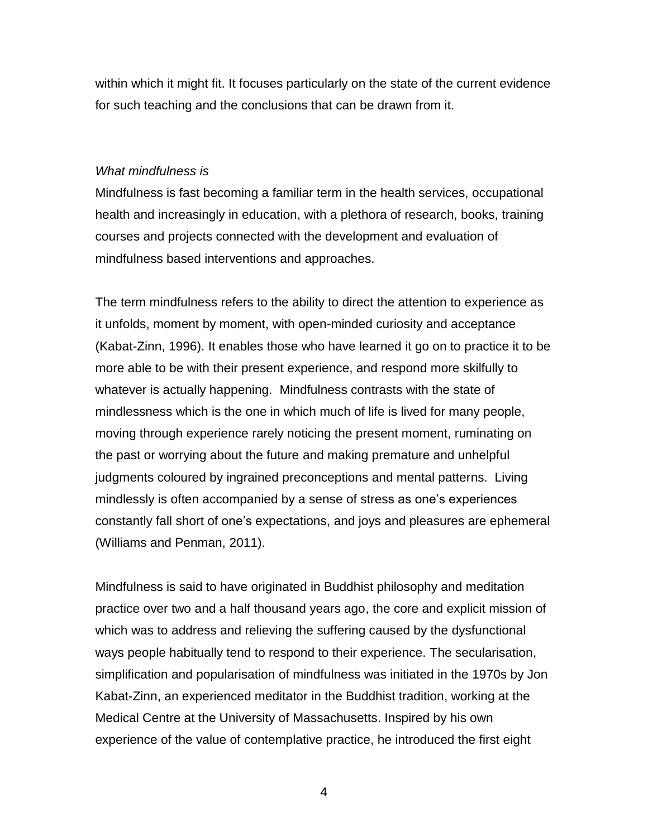within which it might fit. It focuses particularly on the state of the current evidence for such teaching and the conclusions that can be drawn from it.

#### *What mindfulness is*

Mindfulness is fast becoming a familiar term in the health services, occupational health and increasingly in education, with a plethora of research, books, training courses and projects connected with the development and evaluation of mindfulness based interventions and approaches.

The term mindfulness refers to the ability to direct the attention to experience as it unfolds, moment by moment, with open-minded curiosity and acceptance (Kabat-Zinn, 1996). It enables those who have learned it go on to practice it to be more able to be with their present experience, and respond more skilfully to whatever is actually happening. Mindfulness contrasts with the state of mindlessness which is the one in which much of life is lived for many people, moving through experience rarely noticing the present moment, ruminating on the past or worrying about the future and making premature and unhelpful judgments coloured by ingrained preconceptions and mental patterns. Living mindlessly is often accompanied by a sense of stress as one's experiences constantly fall short of one's expectations, and joys and pleasures are ephemeral (Williams and Penman, 2011).

Mindfulness is said to have originated in Buddhist philosophy and meditation practice over two and a half thousand years ago, the core and explicit mission of which was to address and relieving the suffering caused by the dysfunctional ways people habitually tend to respond to their experience. The secularisation, simplification and popularisation of mindfulness was initiated in the 1970s by Jon Kabat-Zinn, an experienced meditator in the Buddhist tradition, working at the Medical Centre at the University of Massachusetts. Inspired by his own experience of the value of contemplative practice, he introduced the first eight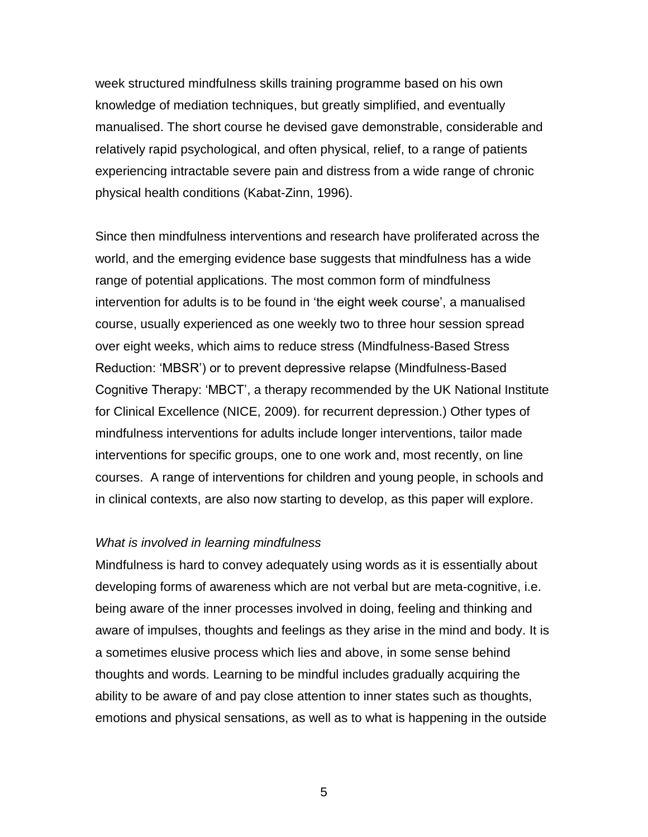week structured mindfulness skills training programme based on his own knowledge of mediation techniques, but greatly simplified, and eventually manualised. The short course he devised gave demonstrable, considerable and relatively rapid psychological, and often physical, relief, to a range of patients experiencing intractable severe pain and distress from a wide range of chronic physical health conditions (Kabat-Zinn, 1996).

Since then mindfulness interventions and research have proliferated across the world, and the emerging evidence base suggests that mindfulness has a wide range of potential applications. The most common form of mindfulness intervention for adults is to be found in 'the eight week course', a manualised course, usually experienced as one weekly two to three hour session spread over eight weeks, which aims to reduce stress (Mindfulness-Based Stress Reduction: 'MBSR') or to prevent depressive relapse (Mindfulness-Based Cognitive Therapy: 'MBCT', a therapy recommended by the UK National Institute for Clinical Excellence (NICE, 2009). for recurrent depression.) Other types of mindfulness interventions for adults include longer interventions, tailor made interventions for specific groups, one to one work and, most recently, on line courses. A range of interventions for children and young people, in schools and in clinical contexts, are also now starting to develop, as this paper will explore.

#### *What is involved in learning mindfulness*

Mindfulness is hard to convey adequately using words as it is essentially about developing forms of awareness which are not verbal but are meta-cognitive, i.e. being aware of the inner processes involved in doing, feeling and thinking and aware of impulses, thoughts and feelings as they arise in the mind and body. It is a sometimes elusive process which lies and above, in some sense behind thoughts and words. Learning to be mindful includes gradually acquiring the ability to be aware of and pay close attention to inner states such as thoughts, emotions and physical sensations, as well as to what is happening in the outside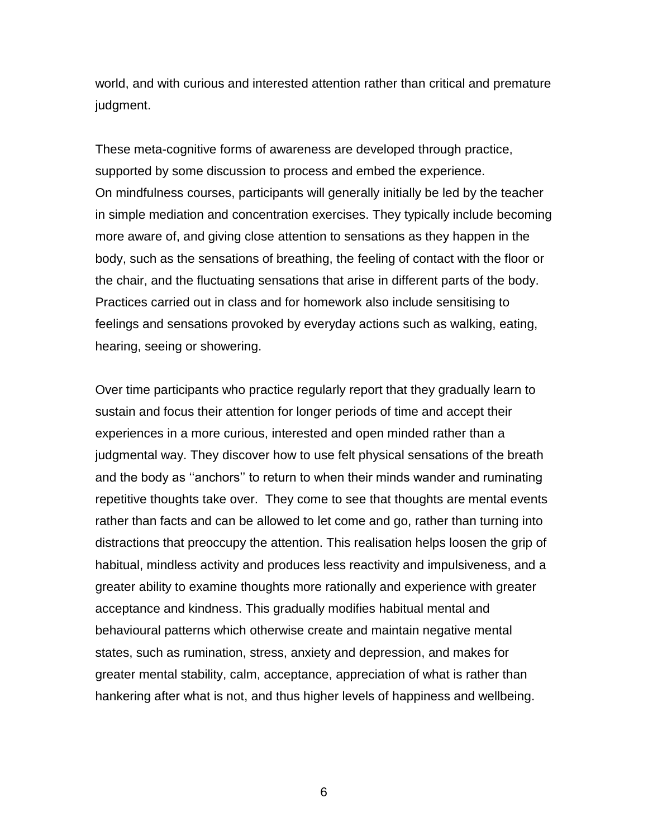world, and with curious and interested attention rather than critical and premature judgment.

These meta-cognitive forms of awareness are developed through practice, supported by some discussion to process and embed the experience. On mindfulness courses, participants will generally initially be led by the teacher in simple mediation and concentration exercises. They typically include becoming more aware of, and giving close attention to sensations as they happen in the body, such as the sensations of breathing, the feeling of contact with the floor or the chair, and the fluctuating sensations that arise in different parts of the body. Practices carried out in class and for homework also include sensitising to feelings and sensations provoked by everyday actions such as walking, eating, hearing, seeing or showering.

Over time participants who practice regularly report that they gradually learn to sustain and focus their attention for longer periods of time and accept their experiences in a more curious, interested and open minded rather than a judgmental way. They discover how to use felt physical sensations of the breath and the body as ''anchors'' to return to when their minds wander and ruminating repetitive thoughts take over. They come to see that thoughts are mental events rather than facts and can be allowed to let come and go, rather than turning into distractions that preoccupy the attention. This realisation helps loosen the grip of habitual, mindless activity and produces less reactivity and impulsiveness, and a greater ability to examine thoughts more rationally and experience with greater acceptance and kindness. This gradually modifies habitual mental and behavioural patterns which otherwise create and maintain negative mental states, such as rumination, stress, anxiety and depression, and makes for greater mental stability, calm, acceptance, appreciation of what is rather than hankering after what is not, and thus higher levels of happiness and wellbeing.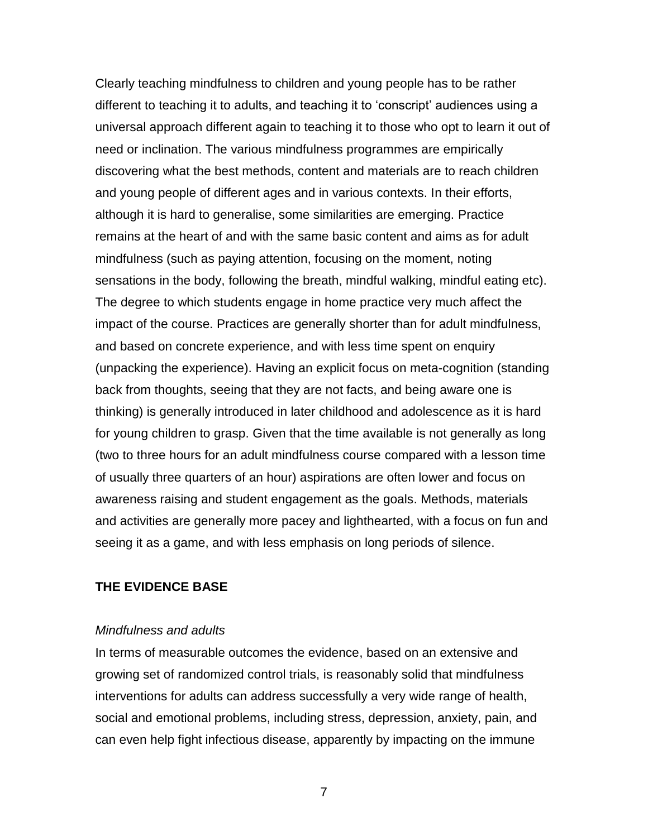Clearly teaching mindfulness to children and young people has to be rather different to teaching it to adults, and teaching it to 'conscript' audiences using a universal approach different again to teaching it to those who opt to learn it out of need or inclination. The various mindfulness programmes are empirically discovering what the best methods, content and materials are to reach children and young people of different ages and in various contexts. In their efforts, although it is hard to generalise, some similarities are emerging. Practice remains at the heart of and with the same basic content and aims as for adult mindfulness (such as paying attention, focusing on the moment, noting sensations in the body, following the breath, mindful walking, mindful eating etc). The degree to which students engage in home practice very much affect the impact of the course. Practices are generally shorter than for adult mindfulness, and based on concrete experience, and with less time spent on enquiry (unpacking the experience). Having an explicit focus on meta-cognition (standing back from thoughts, seeing that they are not facts, and being aware one is thinking) is generally introduced in later childhood and adolescence as it is hard for young children to grasp. Given that the time available is not generally as long (two to three hours for an adult mindfulness course compared with a lesson time of usually three quarters of an hour) aspirations are often lower and focus on awareness raising and student engagement as the goals. Methods, materials and activities are generally more pacey and lighthearted, with a focus on fun and seeing it as a game, and with less emphasis on long periods of silence.

### **THE EVIDENCE BASE**

#### *Mindfulness and adults*

In terms of measurable outcomes the evidence, based on an extensive and growing set of randomized control trials, is reasonably solid that mindfulness interventions for adults can address successfully a very wide range of health, social and emotional problems, including stress, depression, anxiety, pain, and can even help fight infectious disease, apparently by impacting on the immune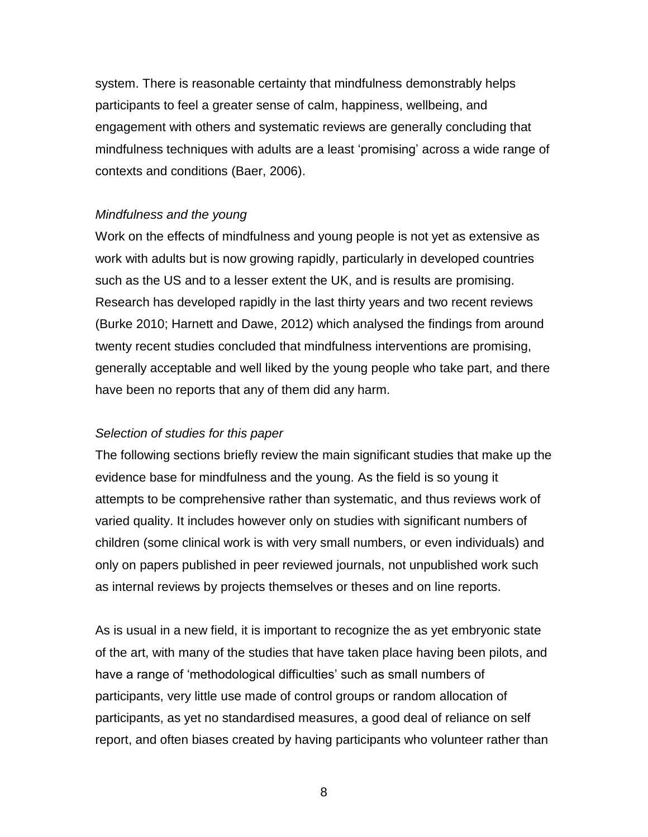system. There is reasonable certainty that mindfulness demonstrably helps participants to feel a greater sense of calm, happiness, wellbeing, and engagement with others and systematic reviews are generally concluding that mindfulness techniques with adults are a least 'promising' across a wide range of contexts and conditions (Baer, 2006).

#### *Mindfulness and the young*

Work on the effects of mindfulness and young people is not yet as extensive as work with adults but is now growing rapidly, particularly in developed countries such as the US and to a lesser extent the UK, and is results are promising. Research has developed rapidly in the last thirty years and two recent reviews (Burke 2010; Harnett and Dawe, 2012) which analysed the findings from around twenty recent studies concluded that mindfulness interventions are promising, generally acceptable and well liked by the young people who take part, and there have been no reports that any of them did any harm.

### *Selection of studies for this paper*

The following sections briefly review the main significant studies that make up the evidence base for mindfulness and the young. As the field is so young it attempts to be comprehensive rather than systematic, and thus reviews work of varied quality. It includes however only on studies with significant numbers of children (some clinical work is with very small numbers, or even individuals) and only on papers published in peer reviewed journals, not unpublished work such as internal reviews by projects themselves or theses and on line reports.

As is usual in a new field, it is important to recognize the as yet embryonic state of the art, with many of the studies that have taken place having been pilots, and have a range of 'methodological difficulties' such as small numbers of participants, very little use made of control groups or random allocation of participants, as yet no standardised measures, a good deal of reliance on self report, and often biases created by having participants who volunteer rather than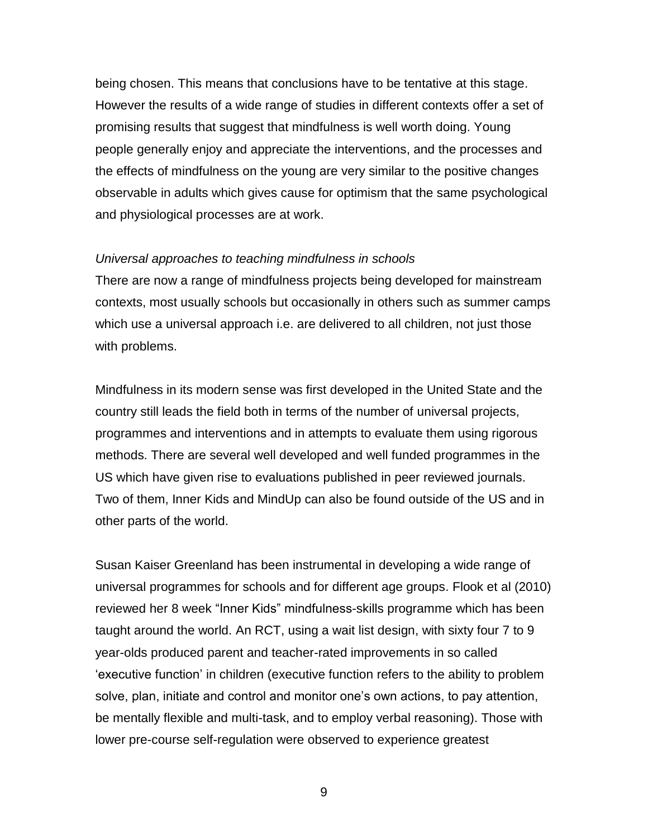being chosen. This means that conclusions have to be tentative at this stage. However the results of a wide range of studies in different contexts offer a set of promising results that suggest that mindfulness is well worth doing. Young people generally enjoy and appreciate the interventions, and the processes and the effects of mindfulness on the young are very similar to the positive changes observable in adults which gives cause for optimism that the same psychological and physiological processes are at work.

#### *Universal approaches to teaching mindfulness in schools*

There are now a range of mindfulness projects being developed for mainstream contexts, most usually schools but occasionally in others such as summer camps which use a universal approach i.e. are delivered to all children, not just those with problems.

Mindfulness in its modern sense was first developed in the United State and the country still leads the field both in terms of the number of universal projects, programmes and interventions and in attempts to evaluate them using rigorous methods. There are several well developed and well funded programmes in the US which have given rise to evaluations published in peer reviewed journals. Two of them, Inner Kids and MindUp can also be found outside of the US and in other parts of the world.

Susan Kaiser Greenland has been instrumental in developing a wide range of universal programmes for schools and for different age groups. Flook et al (2010) reviewed her 8 week "Inner Kids" mindfulness-skills programme which has been taught around the world. An RCT, using a wait list design, with sixty four 7 to 9 year-olds produced parent and teacher-rated improvements in so called 'executive function' in children (executive function refers to the ability to problem solve, plan, initiate and control and monitor one's own actions, to pay attention, be mentally flexible and multi-task, and to employ verbal reasoning). Those with lower pre-course self-regulation were observed to experience greatest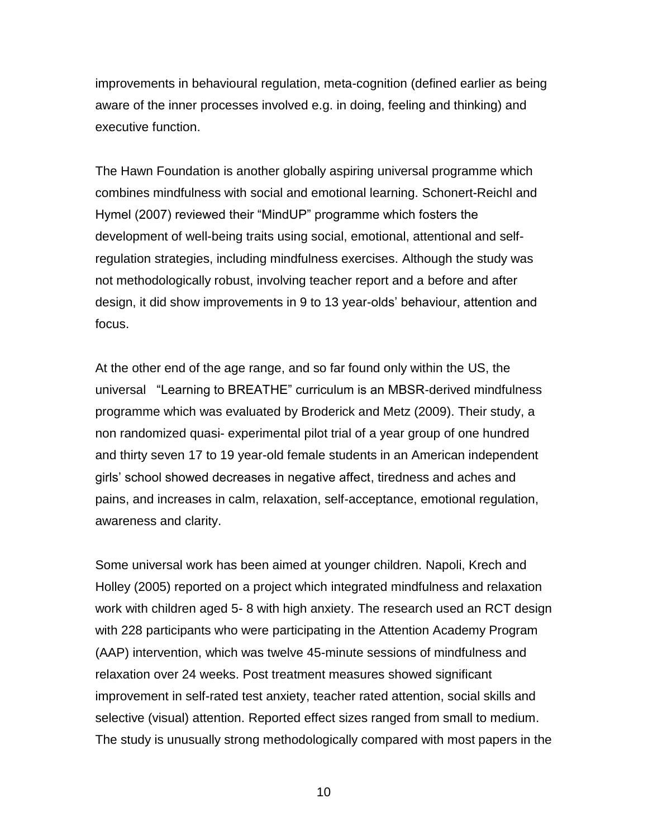improvements in behavioural regulation, meta-cognition (defined earlier as being aware of the inner processes involved e.g. in doing, feeling and thinking) and executive function.

The Hawn Foundation is another globally aspiring universal programme which combines mindfulness with social and emotional learning. Schonert-Reichl and Hymel (2007) reviewed their "MindUP" programme which fosters the development of well-being traits using social, emotional, attentional and selfregulation strategies, including mindfulness exercises. Although the study was not methodologically robust, involving teacher report and a before and after design, it did show improvements in 9 to 13 year-olds' behaviour, attention and focus.

At the other end of the age range, and so far found only within the US, the universal "Learning to BREATHE" curriculum is an MBSR-derived mindfulness programme which was evaluated by Broderick and Metz (2009). Their study, a non randomized quasi- experimental pilot trial of a year group of one hundred and thirty seven 17 to 19 year-old female students in an American independent girls' school showed decreases in negative affect, tiredness and aches and pains, and increases in calm, relaxation, self-acceptance, emotional regulation, awareness and clarity.

Some universal work has been aimed at younger children. Napoli, Krech and Holley (2005) reported on a project which integrated mindfulness and relaxation work with children aged 5- 8 with high anxiety. The research used an RCT design with 228 participants who were participating in the Attention Academy Program (AAP) intervention, which was twelve 45-minute sessions of mindfulness and relaxation over 24 weeks. Post treatment measures showed significant improvement in self-rated test anxiety, teacher rated attention, social skills and selective (visual) attention. Reported effect sizes ranged from small to medium. The study is unusually strong methodologically compared with most papers in the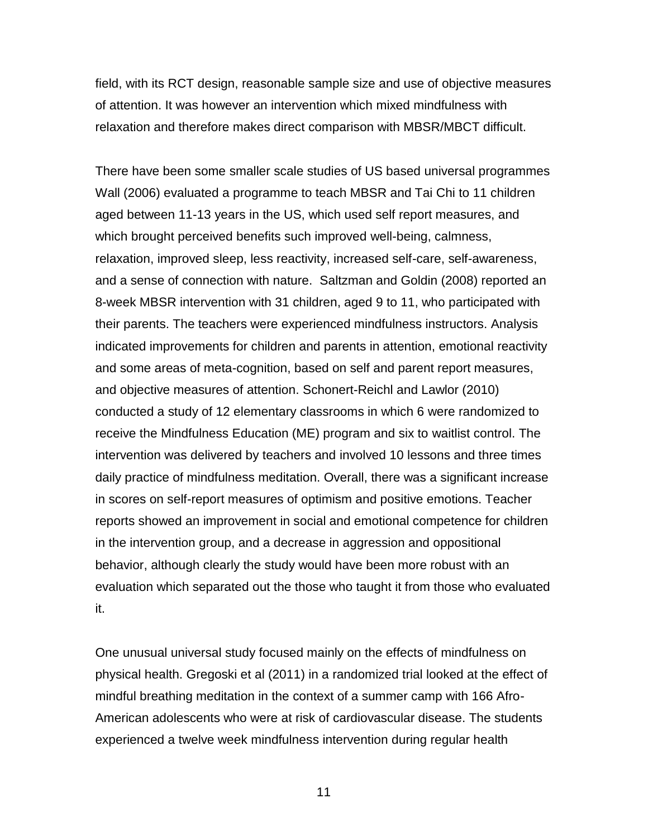field, with its RCT design, reasonable sample size and use of objective measures of attention. It was however an intervention which mixed mindfulness with relaxation and therefore makes direct comparison with MBSR/MBCT difficult.

There have been some smaller scale studies of US based universal programmes Wall (2006) evaluated a programme to teach MBSR and Tai Chi to 11 children aged between 11-13 years in the US, which used self report measures, and which brought perceived benefits such improved well-being, calmness, relaxation, improved sleep, less reactivity, increased self-care, self-awareness, and a sense of connection with nature. Saltzman and Goldin (2008) reported an 8-week MBSR intervention with 31 children, aged 9 to 11, who participated with their parents. The teachers were experienced mindfulness instructors. Analysis indicated improvements for children and parents in attention, emotional reactivity and some areas of meta-cognition, based on self and parent report measures, and objective measures of attention. Schonert-Reichl and Lawlor (2010) conducted a study of 12 elementary classrooms in which 6 were randomized to receive the Mindfulness Education (ME) program and six to waitlist control. The intervention was delivered by teachers and involved 10 lessons and three times daily practice of mindfulness meditation. Overall, there was a significant increase in scores on self-report measures of optimism and positive emotions. Teacher reports showed an improvement in social and emotional competence for children in the intervention group, and a decrease in aggression and oppositional behavior, although clearly the study would have been more robust with an evaluation which separated out the those who taught it from those who evaluated it.

One unusual universal study focused mainly on the effects of mindfulness on physical health. Gregoski et al (2011) in a randomized trial looked at the effect of mindful breathing meditation in the context of a summer camp with 166 Afro-American adolescents who were at risk of cardiovascular disease. The students experienced a twelve week mindfulness intervention during regular health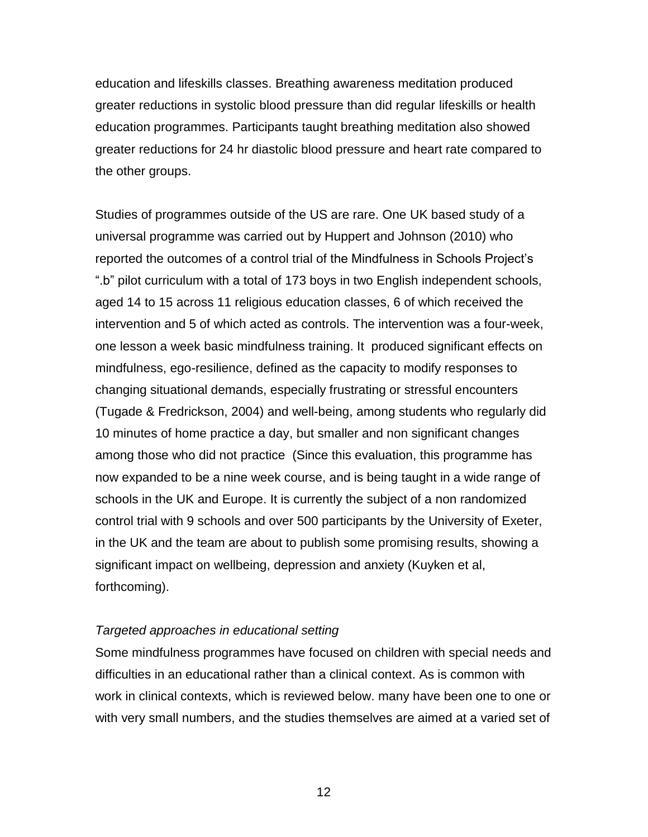education and lifeskills classes. Breathing awareness meditation produced greater reductions in systolic blood pressure than did regular lifeskills or health education programmes. Participants taught breathing meditation also showed greater reductions for 24 hr diastolic blood pressure and heart rate compared to the other groups.

Studies of programmes outside of the US are rare. One UK based study of a universal programme was carried out by Huppert and Johnson (2010) who reported the outcomes of a control trial of the Mindfulness in Schools Project's ".b" pilot curriculum with a total of 173 boys in two English independent schools, aged 14 to 15 across 11 religious education classes, 6 of which received the intervention and 5 of which acted as controls. The intervention was a four-week, one lesson a week basic mindfulness training. It produced significant effects on mindfulness, ego-resilience, defined as the capacity to modify responses to changing situational demands, especially frustrating or stressful encounters (Tugade & Fredrickson, 2004) and well-being, among students who regularly did 10 minutes of home practice a day, but smaller and non significant changes among those who did not practice (Since this evaluation, this programme has now expanded to be a nine week course, and is being taught in a wide range of schools in the UK and Europe. It is currently the subject of a non randomized control trial with 9 schools and over 500 participants by the University of Exeter, in the UK and the team are about to publish some promising results, showing a significant impact on wellbeing, depression and anxiety (Kuyken et al, forthcoming).

#### *Targeted approaches in educational setting*

Some mindfulness programmes have focused on children with special needs and difficulties in an educational rather than a clinical context. As is common with work in clinical contexts, which is reviewed below. many have been one to one or with very small numbers, and the studies themselves are aimed at a varied set of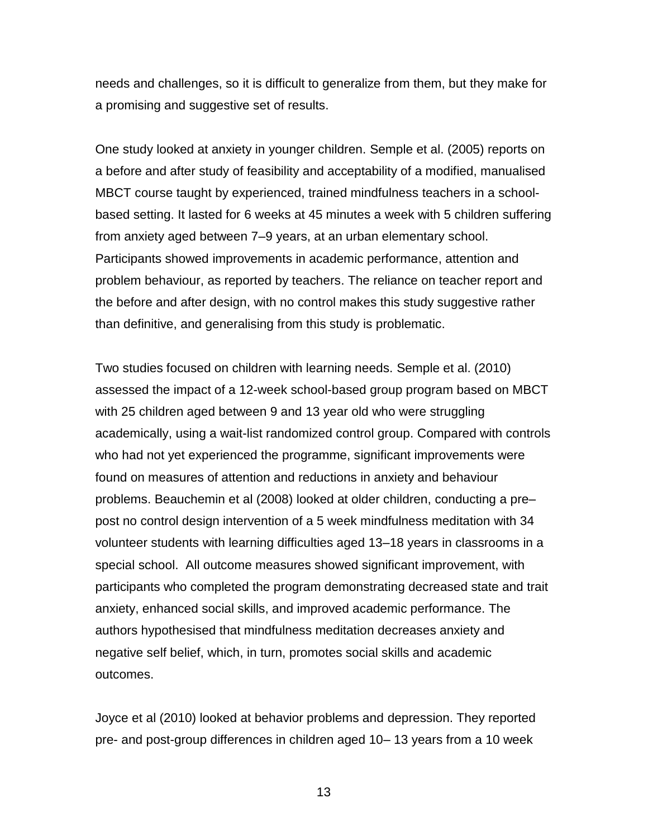needs and challenges, so it is difficult to generalize from them, but they make for a promising and suggestive set of results.

One study looked at anxiety in younger children. Semple et al. (2005) reports on a before and after study of feasibility and acceptability of a modified, manualised MBCT course taught by experienced, trained mindfulness teachers in a schoolbased setting. It lasted for 6 weeks at 45 minutes a week with 5 children suffering from anxiety aged between 7–9 years, at an urban elementary school. Participants showed improvements in academic performance, attention and problem behaviour, as reported by teachers. The reliance on teacher report and the before and after design, with no control makes this study suggestive rather than definitive, and generalising from this study is problematic.

Two studies focused on children with learning needs. Semple et al. (2010) assessed the impact of a 12-week school-based group program based on MBCT with 25 children aged between 9 and 13 year old who were struggling academically, using a wait-list randomized control group. Compared with controls who had not yet experienced the programme, significant improvements were found on measures of attention and reductions in anxiety and behaviour problems. Beauchemin et al (2008) looked at older children, conducting a pre– post no control design intervention of a 5 week mindfulness meditation with 34 volunteer students with learning difficulties aged 13–18 years in classrooms in a special school. All outcome measures showed significant improvement, with participants who completed the program demonstrating decreased state and trait anxiety, enhanced social skills, and improved academic performance. The authors hypothesised that mindfulness meditation decreases anxiety and negative self belief, which, in turn, promotes social skills and academic outcomes.

Joyce et al (2010) looked at behavior problems and depression. They reported pre- and post-group differences in children aged 10– 13 years from a 10 week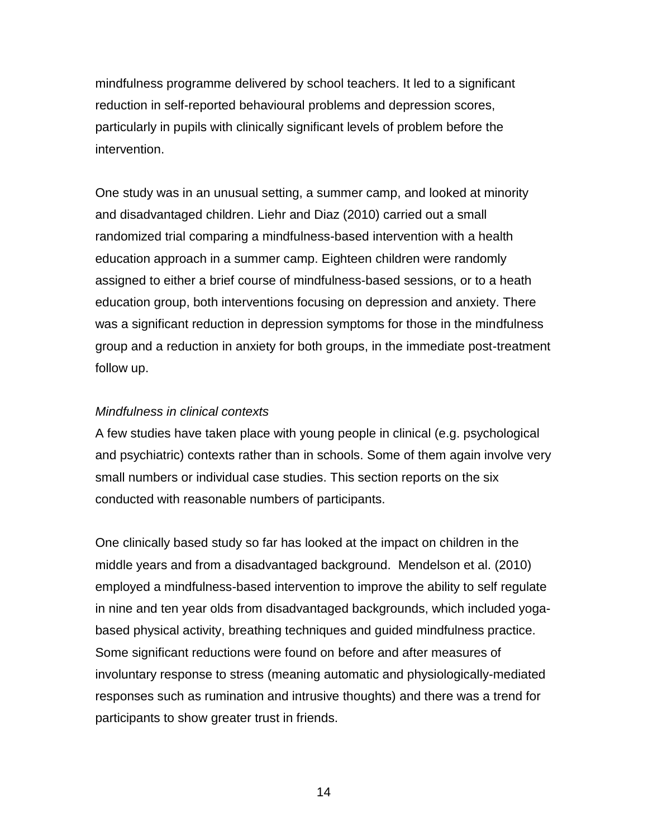mindfulness programme delivered by school teachers. It led to a significant reduction in self-reported behavioural problems and depression scores, particularly in pupils with clinically significant levels of problem before the intervention.

One study was in an unusual setting, a summer camp, and looked at minority and disadvantaged children. Liehr and Diaz (2010) carried out a small randomized trial comparing a mindfulness-based intervention with a health education approach in a summer camp. Eighteen children were randomly assigned to either a brief course of mindfulness-based sessions, or to a heath education group, both interventions focusing on depression and anxiety. There was a significant reduction in depression symptoms for those in the mindfulness group and a reduction in anxiety for both groups, in the immediate post-treatment follow up.

### *Mindfulness in clinical contexts*

A few studies have taken place with young people in clinical (e.g. psychological and psychiatric) contexts rather than in schools. Some of them again involve very small numbers or individual case studies. This section reports on the six conducted with reasonable numbers of participants.

One clinically based study so far has looked at the impact on children in the middle years and from a disadvantaged background. Mendelson et al. (2010) employed a mindfulness-based intervention to improve the ability to self regulate in nine and ten year olds from disadvantaged backgrounds, which included yogabased physical activity, breathing techniques and guided mindfulness practice. Some significant reductions were found on before and after measures of involuntary response to stress (meaning automatic and physiologically-mediated responses such as rumination and intrusive thoughts) and there was a trend for participants to show greater trust in friends.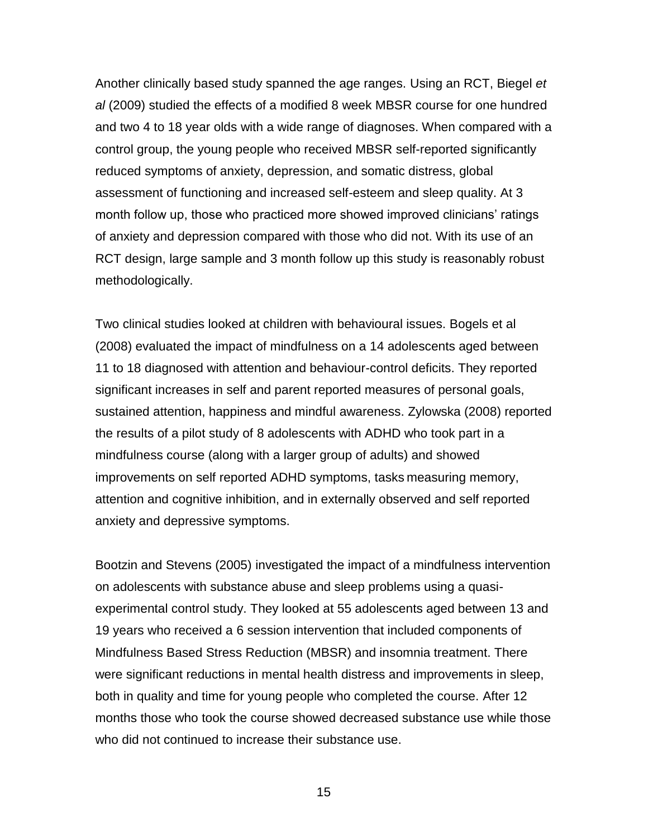Another clinically based study spanned the age ranges. Using an RCT, Biegel *et al* (2009) studied the effects of a modified 8 week MBSR course for one hundred and two 4 to 18 year olds with a wide range of diagnoses. When compared with a control group, the young people who received MBSR self-reported significantly reduced symptoms of anxiety, depression, and somatic distress, global assessment of functioning and increased self-esteem and sleep quality. At 3 month follow up, those who practiced more showed improved clinicians' ratings of anxiety and depression compared with those who did not. With its use of an RCT design, large sample and 3 month follow up this study is reasonably robust methodologically.

Two clinical studies looked at children with behavioural issues. Bogels et al (2008) evaluated the impact of mindfulness on a 14 adolescents aged between 11 to 18 diagnosed with attention and behaviour-control deficits. They reported significant increases in self and parent reported measures of personal goals, sustained attention, happiness and mindful awareness. Zylowska (2008) reported the results of a pilot study of 8 adolescents with ADHD who took part in a mindfulness course (along with a larger group of adults) and showed improvements on self reported ADHD symptoms, tasks measuring memory, attention and cognitive inhibition, and in externally observed and self reported anxiety and depressive symptoms.

Bootzin and Stevens (2005) investigated the impact of a mindfulness intervention on adolescents with substance abuse and sleep problems using a quasiexperimental control study. They looked at 55 adolescents aged between 13 and 19 years who received a 6 session intervention that included components of Mindfulness Based Stress Reduction (MBSR) and insomnia treatment. There were significant reductions in mental health distress and improvements in sleep, both in quality and time for young people who completed the course. After 12 months those who took the course showed decreased substance use while those who did not continued to increase their substance use.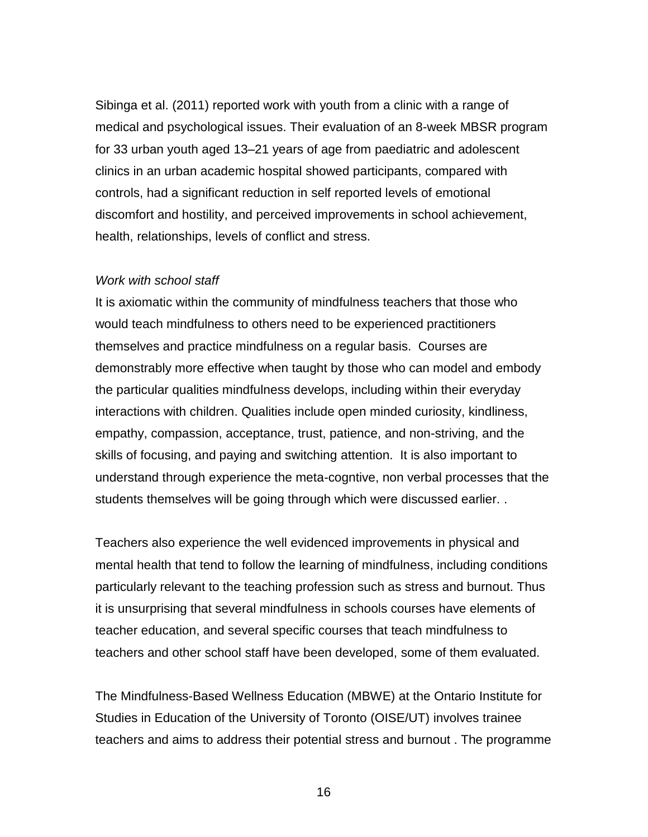Sibinga et al. (2011) reported work with youth from a clinic with a range of medical and psychological issues. Their evaluation of an 8-week MBSR program for 33 urban youth aged 13–21 years of age from paediatric and adolescent clinics in an urban academic hospital showed participants, compared with controls, had a significant reduction in self reported levels of emotional discomfort and hostility, and perceived improvements in school achievement, health, relationships, levels of conflict and stress.

#### *Work with school staff*

It is axiomatic within the community of mindfulness teachers that those who would teach mindfulness to others need to be experienced practitioners themselves and practice mindfulness on a regular basis. Courses are demonstrably more effective when taught by those who can model and embody the particular qualities mindfulness develops, including within their everyday interactions with children. Qualities include open minded curiosity, kindliness, empathy, compassion, acceptance, trust, patience, and non-striving, and the skills of focusing, and paying and switching attention. It is also important to understand through experience the meta-cogntive, non verbal processes that the students themselves will be going through which were discussed earlier. .

Teachers also experience the well evidenced improvements in physical and mental health that tend to follow the learning of mindfulness, including conditions particularly relevant to the teaching profession such as stress and burnout. Thus it is unsurprising that several mindfulness in schools courses have elements of teacher education, and several specific courses that teach mindfulness to teachers and other school staff have been developed, some of them evaluated.

The Mindfulness-Based Wellness Education (MBWE) at the Ontario Institute for Studies in Education of the University of Toronto (OISE/UT) involves trainee teachers and aims to address their potential stress and burnout . The programme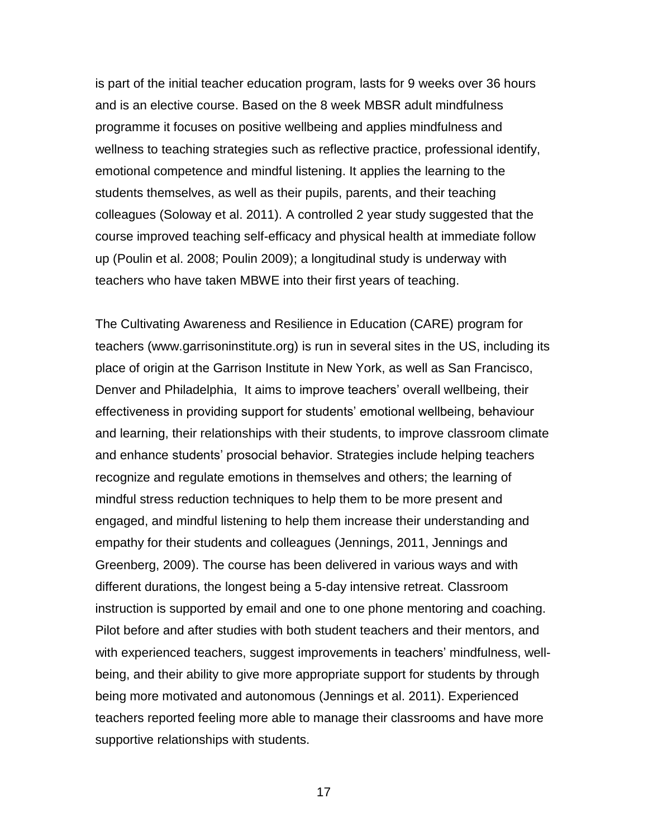is part of the initial teacher education program, lasts for 9 weeks over 36 hours and is an elective course. Based on the 8 week MBSR adult mindfulness programme it focuses on positive wellbeing and applies mindfulness and wellness to teaching strategies such as reflective practice, professional identify, emotional competence and mindful listening. It applies the learning to the students themselves, as well as their pupils, parents, and their teaching colleagues (Soloway et al. 2011). A controlled 2 year study suggested that the course improved teaching self-efficacy and physical health at immediate follow up (Poulin et al. 2008; Poulin 2009); a longitudinal study is underway with teachers who have taken MBWE into their first years of teaching.

The Cultivating Awareness and Resilience in Education (CARE) program for teachers (www.garrisoninstitute.org) is run in several sites in the US, including its place of origin at the Garrison Institute in New York, as well as San Francisco, Denver and Philadelphia, It aims to improve teachers' overall wellbeing, their effectiveness in providing support for students' emotional wellbeing, behaviour and learning, their relationships with their students, to improve classroom climate and enhance students' prosocial behavior. Strategies include helping teachers recognize and regulate emotions in themselves and others; the learning of mindful stress reduction techniques to help them to be more present and engaged, and mindful listening to help them increase their understanding and empathy for their students and colleagues (Jennings, 2011, Jennings and Greenberg, 2009). The course has been delivered in various ways and with different durations, the longest being a 5-day intensive retreat. Classroom instruction is supported by email and one to one phone mentoring and coaching. Pilot before and after studies with both student teachers and their mentors, and with experienced teachers, suggest improvements in teachers' mindfulness, wellbeing, and their ability to give more appropriate support for students by through being more motivated and autonomous (Jennings et al. 2011). Experienced teachers reported feeling more able to manage their classrooms and have more supportive relationships with students.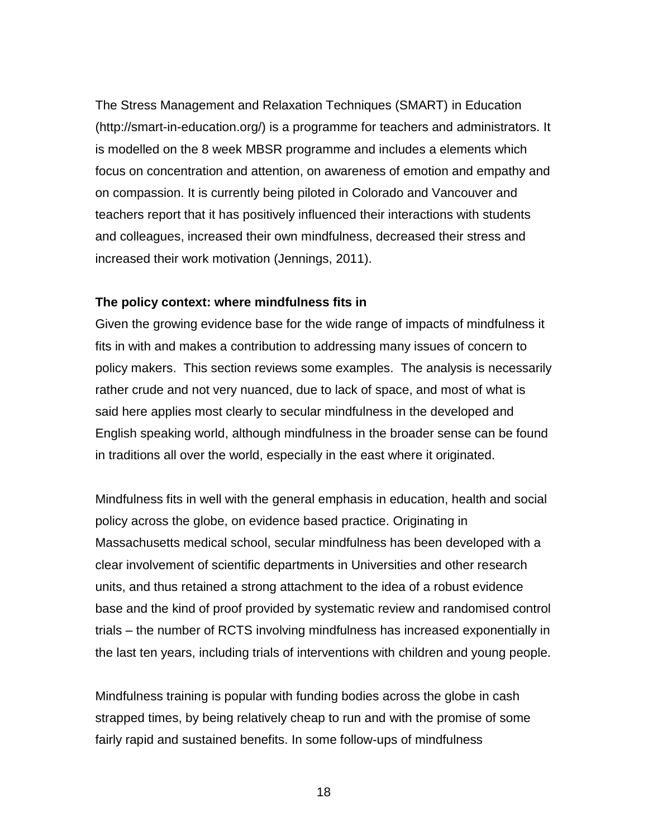The Stress Management and Relaxation Techniques (SMART) in Education (http://smart-in-education.org/) is a programme for teachers and administrators. It is modelled on the 8 week MBSR programme and includes a elements which focus on concentration and attention, on awareness of emotion and empathy and on compassion. It is currently being piloted in Colorado and Vancouver and teachers report that it has positively influenced their interactions with students and colleagues, increased their own mindfulness, decreased their stress and increased their work motivation (Jennings, 2011).

#### **The policy context: where mindfulness fits in**

Given the growing evidence base for the wide range of impacts of mindfulness it fits in with and makes a contribution to addressing many issues of concern to policy makers. This section reviews some examples. The analysis is necessarily rather crude and not very nuanced, due to lack of space, and most of what is said here applies most clearly to secular mindfulness in the developed and English speaking world, although mindfulness in the broader sense can be found in traditions all over the world, especially in the east where it originated.

Mindfulness fits in well with the general emphasis in education, health and social policy across the globe, on evidence based practice. Originating in Massachusetts medical school, secular mindfulness has been developed with a clear involvement of scientific departments in Universities and other research units, and thus retained a strong attachment to the idea of a robust evidence base and the kind of proof provided by systematic review and randomised control trials – the number of RCTS involving mindfulness has increased exponentially in the last ten years, including trials of interventions with children and young people.

Mindfulness training is popular with funding bodies across the globe in cash strapped times, by being relatively cheap to run and with the promise of some fairly rapid and sustained benefits. In some follow-ups of mindfulness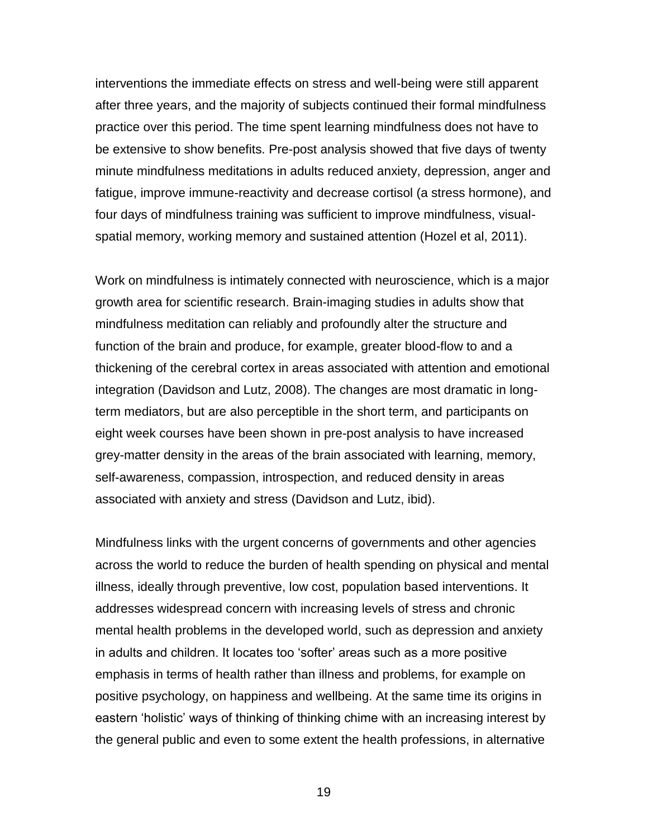interventions the immediate effects on stress and well-being were still apparent after three years, and the majority of subjects continued their formal mindfulness practice over this period. The time spent learning mindfulness does not have to be extensive to show benefits. Pre-post analysis showed that five days of twenty minute mindfulness meditations in adults reduced anxiety, depression, anger and fatigue, improve immune-reactivity and decrease cortisol (a stress hormone), and four days of mindfulness training was sufficient to improve mindfulness, visualspatial memory, working memory and sustained attention (Hozel et al, 2011).

Work on mindfulness is intimately connected with neuroscience, which is a major growth area for scientific research. Brain-imaging studies in adults show that mindfulness meditation can reliably and profoundly alter the structure and function of the brain and produce, for example, greater blood-flow to and a thickening of the cerebral cortex in areas associated with attention and emotional integration (Davidson and Lutz, 2008). The changes are most dramatic in longterm mediators, but are also perceptible in the short term, and participants on eight week courses have been shown in pre-post analysis to have increased grey-matter density in the areas of the brain associated with learning, memory, self-awareness, compassion, introspection, and reduced density in areas associated with anxiety and stress (Davidson and Lutz, ibid).

Mindfulness links with the urgent concerns of governments and other agencies across the world to reduce the burden of health spending on physical and mental illness, ideally through preventive, low cost, population based interventions. It addresses widespread concern with increasing levels of stress and chronic mental health problems in the developed world, such as depression and anxiety in adults and children. It locates too 'softer' areas such as a more positive emphasis in terms of health rather than illness and problems, for example on positive psychology, on happiness and wellbeing. At the same time its origins in eastern 'holistic' ways of thinking of thinking chime with an increasing interest by the general public and even to some extent the health professions, in alternative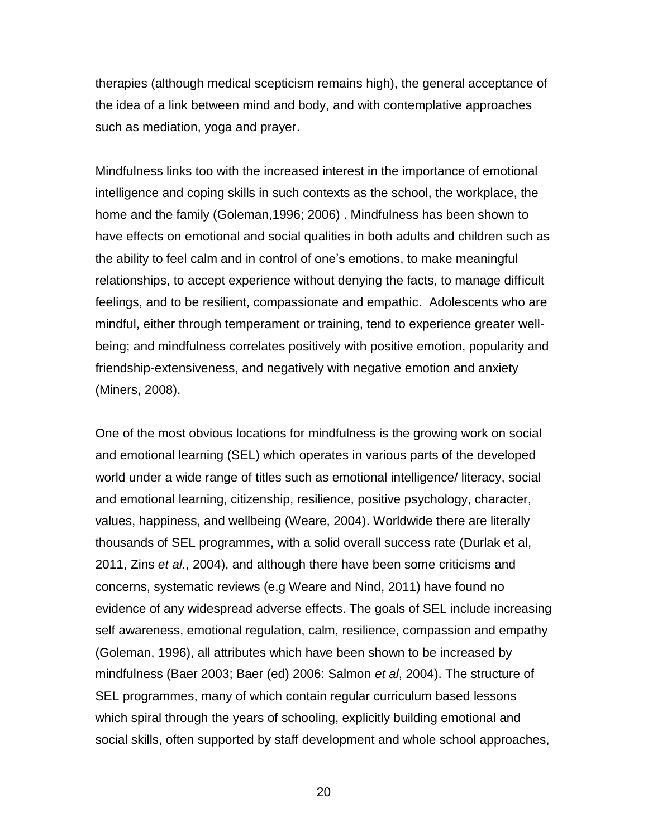therapies (although medical scepticism remains high), the general acceptance of the idea of a link between mind and body, and with contemplative approaches such as mediation, yoga and prayer.

Mindfulness links too with the increased interest in the importance of emotional intelligence and coping skills in such contexts as the school, the workplace, the home and the family (Goleman,1996; 2006) . Mindfulness has been shown to have effects on emotional and social qualities in both adults and children such as the ability to feel calm and in control of one's emotions, to make meaningful relationships, to accept experience without denying the facts, to manage difficult feelings, and to be resilient, compassionate and empathic. Adolescents who are mindful, either through temperament or training, tend to experience greater wellbeing; and mindfulness correlates positively with positive emotion, popularity and friendship-extensiveness, and negatively with negative emotion and anxiety (Miners, 2008).

One of the most obvious locations for mindfulness is the growing work on social and emotional learning (SEL) which operates in various parts of the developed world under a wide range of titles such as emotional intelligence/ literacy, social and emotional learning, citizenship, resilience, positive psychology, character, values, happiness, and wellbeing (Weare, 2004). Worldwide there are literally thousands of SEL programmes, with a solid overall success rate (Durlak et al, 2011, Zins *et al.*, 2004), and although there have been some criticisms and concerns, systematic reviews (e.g Weare and Nind, 2011) have found no evidence of any widespread adverse effects. The goals of SEL include increasing self awareness, emotional regulation, calm, resilience, compassion and empathy (Goleman, 1996), all attributes which have been shown to be increased by mindfulness (Baer 2003; Baer (ed) 2006: Salmon *et al*, 2004). The structure of SEL programmes, many of which contain regular curriculum based lessons which spiral through the years of schooling, explicitly building emotional and social skills, often supported by staff development and whole school approaches,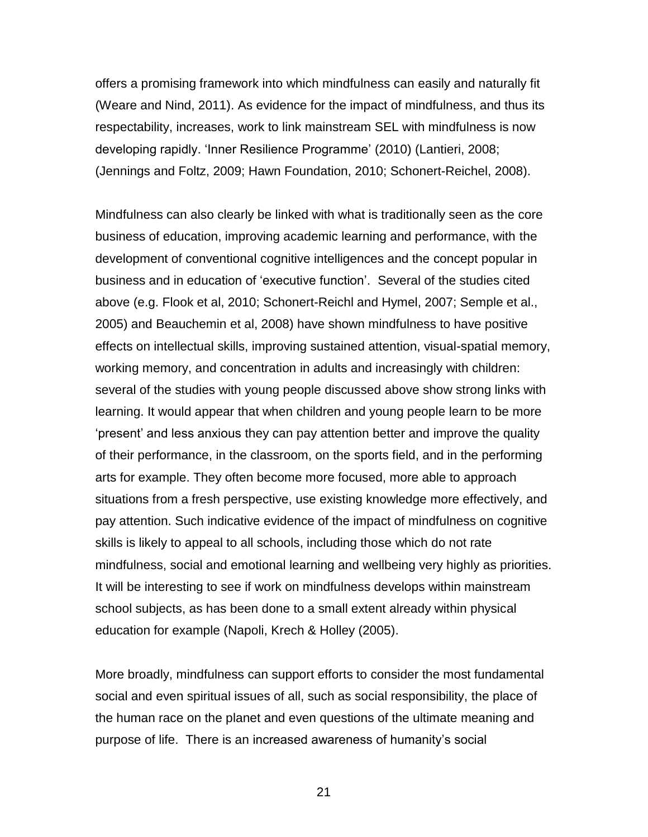offers a promising framework into which mindfulness can easily and naturally fit (Weare and Nind, 2011). As evidence for the impact of mindfulness, and thus its respectability, increases, work to link mainstream SEL with mindfulness is now developing rapidly. 'Inner Resilience Programme' (2010) (Lantieri, 2008; (Jennings and Foltz, 2009; Hawn Foundation, 2010; Schonert-Reichel, 2008).

Mindfulness can also clearly be linked with what is traditionally seen as the core business of education, improving academic learning and performance, with the development of conventional cognitive intelligences and the concept popular in business and in education of 'executive function'. Several of the studies cited above (e.g. Flook et al, 2010; Schonert-Reichl and Hymel, 2007; Semple et al., 2005) and Beauchemin et al, 2008) have shown mindfulness to have positive effects on intellectual skills, improving sustained attention, visual-spatial memory, working memory, and concentration in adults and increasingly with children: several of the studies with young people discussed above show strong links with learning. It would appear that when children and young people learn to be more 'present' and less anxious they can pay attention better and improve the quality of their performance, in the classroom, on the sports field, and in the performing arts for example. They often become more focused, more able to approach situations from a fresh perspective, use existing knowledge more effectively, and pay attention. Such indicative evidence of the impact of mindfulness on cognitive skills is likely to appeal to all schools, including those which do not rate mindfulness, social and emotional learning and wellbeing very highly as priorities. It will be interesting to see if work on mindfulness develops within mainstream school subjects, as has been done to a small extent already within physical education for example (Napoli, Krech & Holley (2005).

More broadly, mindfulness can support efforts to consider the most fundamental social and even spiritual issues of all, such as social responsibility, the place of the human race on the planet and even questions of the ultimate meaning and purpose of life. There is an increased awareness of humanity's social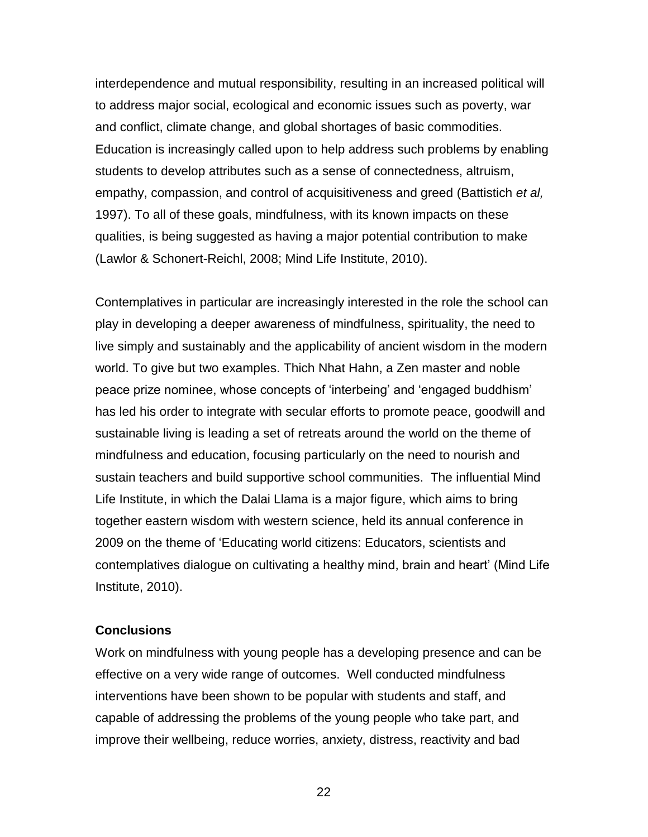interdependence and mutual responsibility, resulting in an increased political will to address major social, ecological and economic issues such as poverty, war and conflict, climate change, and global shortages of basic commodities. Education is increasingly called upon to help address such problems by enabling students to develop attributes such as a sense of connectedness, altruism, empathy, compassion, and control of acquisitiveness and greed (Battistich *et al,* 1997). To all of these goals, mindfulness, with its known impacts on these qualities, is being suggested as having a major potential contribution to make (Lawlor & Schonert-Reichl, 2008; Mind Life Institute, 2010).

Contemplatives in particular are increasingly interested in the role the school can play in developing a deeper awareness of mindfulness, spirituality, the need to live simply and sustainably and the applicability of ancient wisdom in the modern world. To give but two examples. Thich Nhat Hahn, a Zen master and noble peace prize nominee, whose concepts of 'interbeing' and 'engaged buddhism' has led his order to integrate with secular efforts to promote peace, goodwill and sustainable living is leading a set of retreats around the world on the theme of mindfulness and education, focusing particularly on the need to nourish and sustain teachers and build supportive school communities. The influential Mind Life Institute, in which the Dalai Llama is a major figure, which aims to bring together eastern wisdom with western science, held its annual conference in 2009 on the theme of 'Educating world citizens: Educators, scientists and contemplatives dialogue on cultivating a healthy mind, brain and heart' (Mind Life Institute, 2010).

#### **Conclusions**

Work on mindfulness with young people has a developing presence and can be effective on a very wide range of outcomes. Well conducted mindfulness interventions have been shown to be popular with students and staff, and capable of addressing the problems of the young people who take part, and improve their wellbeing, reduce worries, anxiety, distress, reactivity and bad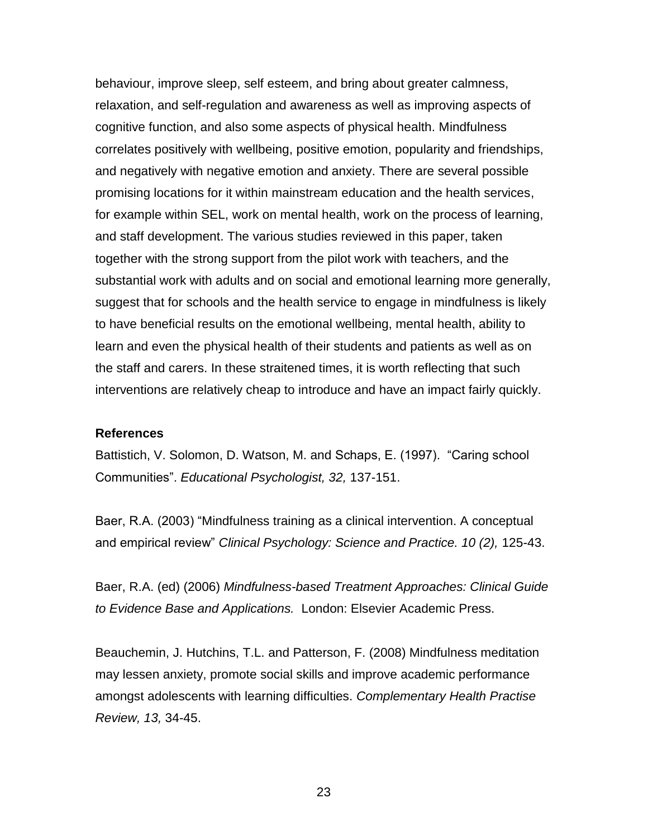behaviour, improve sleep, self esteem, and bring about greater calmness, relaxation, and self-regulation and awareness as well as improving aspects of cognitive function, and also some aspects of physical health. Mindfulness correlates positively with wellbeing, positive emotion, popularity and friendships, and negatively with negative emotion and anxiety. There are several possible promising locations for it within mainstream education and the health services, for example within SEL, work on mental health, work on the process of learning, and staff development. The various studies reviewed in this paper, taken together with the strong support from the pilot work with teachers, and the substantial work with adults and on social and emotional learning more generally, suggest that for schools and the health service to engage in mindfulness is likely to have beneficial results on the emotional wellbeing, mental health, ability to learn and even the physical health of their students and patients as well as on the staff and carers. In these straitened times, it is worth reflecting that such interventions are relatively cheap to introduce and have an impact fairly quickly.

#### **References**

Battistich, V. Solomon, D. Watson, M. and Schaps, E. (1997). "Caring school Communities". *Educational Psychologist, 32,* 137-151.

Baer, R.A. (2003) "Mindfulness training as a clinical intervention. A conceptual and empirical review" *Clinical Psychology: Science and Practice. 10 (2),* 125-43.

Baer, R.A. (ed) (2006) *Mindfulness-based Treatment Approaches: Clinical Guide to Evidence Base and Applications.* London: Elsevier Academic Press.

Beauchemin, J. Hutchins, T.L. and Patterson, F. (2008) Mindfulness meditation may lessen anxiety, promote social skills and improve academic performance amongst adolescents with learning difficulties. *Complementary Health Practise Review, 13,* 34-45.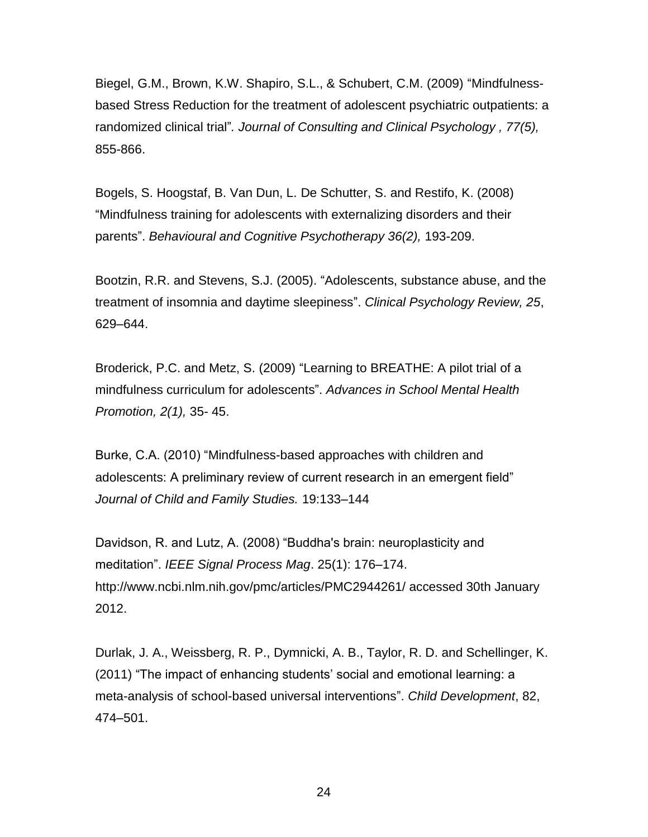Biegel, G.M., Brown, K.W. Shapiro, S.L., & Schubert, C.M. (2009) "Mindfulnessbased Stress Reduction for the treatment of adolescent psychiatric outpatients: a randomized clinical trial"*. Journal of Consulting and Clinical Psychology , 77(5),*  855-866.

Bogels, S. Hoogstaf, B. Van Dun, L. De Schutter, S. and Restifo, K. (2008) "Mindfulness training for adolescents with externalizing disorders and their parents". *Behavioural and Cognitive Psychotherapy 36(2),* 193-209.

Bootzin, R.R. and Stevens, S.J. (2005). "Adolescents, substance abuse, and the treatment of insomnia and daytime sleepiness". *Clinical Psychology Review, 25*, 629–644.

Broderick, P.C. and Metz, S. (2009) "Learning to BREATHE: A pilot trial of a mindfulness curriculum for adolescents". *Advances in School Mental Health Promotion, 2(1),* 35- 45.

Burke, C.A. (2010) "Mindfulness-based approaches with children and adolescents: A preliminary review of current research in an emergent field" *Journal of Child and Family Studies.* 19:133–144

Davidson, R. and Lutz, A. (2008) "Buddha's brain: neuroplasticity and meditation". *IEEE Signal Process Mag*. 25(1): 176–174. http://www.ncbi.nlm.nih.gov/pmc/articles/PMC2944261/ accessed 30th January 2012.

Durlak, J. A., Weissberg, R. P., Dymnicki, A. B., Taylor, R. D. and Schellinger, K. (2011) "The impact of enhancing students' social and emotional learning: a meta-analysis of school-based universal interventions". *Child Development*, 82, 474–501.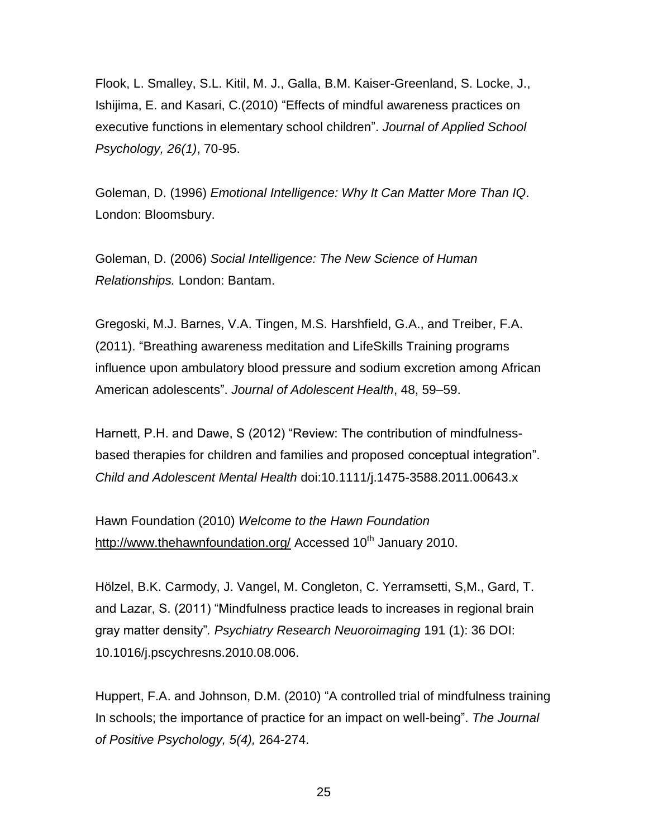Flook, L. Smalley, S.L. Kitil, M. J., Galla, B.M. Kaiser-Greenland, S. Locke, J., Ishijima, E. and Kasari, C.(2010) "Effects of mindful awareness practices on executive functions in elementary school children". *Journal of Applied School Psychology, 26(1)*, 70-95.

Goleman, D. (1996) *Emotional Intelligence: Why It Can Matter More Than IQ*. London: Bloomsbury.

Goleman, D. (2006) *Social Intelligence: The New Science of Human Relationships.* London: Bantam.

Gregoski, M.J. Barnes, V.A. Tingen, M.S. Harshfield, G.A., and Treiber, F.A. (2011). "Breathing awareness meditation and LifeSkills Training programs influence upon ambulatory blood pressure and sodium excretion among African American adolescents". *Journal of Adolescent Health*, 48, 59–59.

Harnett, P.H. and Dawe, S (2012) "Review: The contribution of mindfulnessbased therapies for children and families and proposed conceptual integration". *Child and Adolescent Mental Health* doi:10.1111/j.1475-3588.2011.00643.x

Hawn Foundation (2010) *Welcome to the Hawn Foundation* <http://www.thehawnfoundation.org/> Accessed 10<sup>th</sup> January 2010.

Hölzel, B.K. Carmody, J. Vangel, M. Congleton, C. Yerramsetti, S,M., Gard, T. and Lazar, S. (2011) "Mindfulness practice leads to increases in regional brain gray matter density"*. Psychiatry Research Neuoroimaging* 191 (1): 36 DOI: 10.1016/j.pscychresns.2010.08.006.

Huppert, F.A. and Johnson, D.M. (2010) "A controlled trial of mindfulness training In schools; the importance of practice for an impact on well-being". *The Journal of Positive Psychology, 5(4),* 264-274.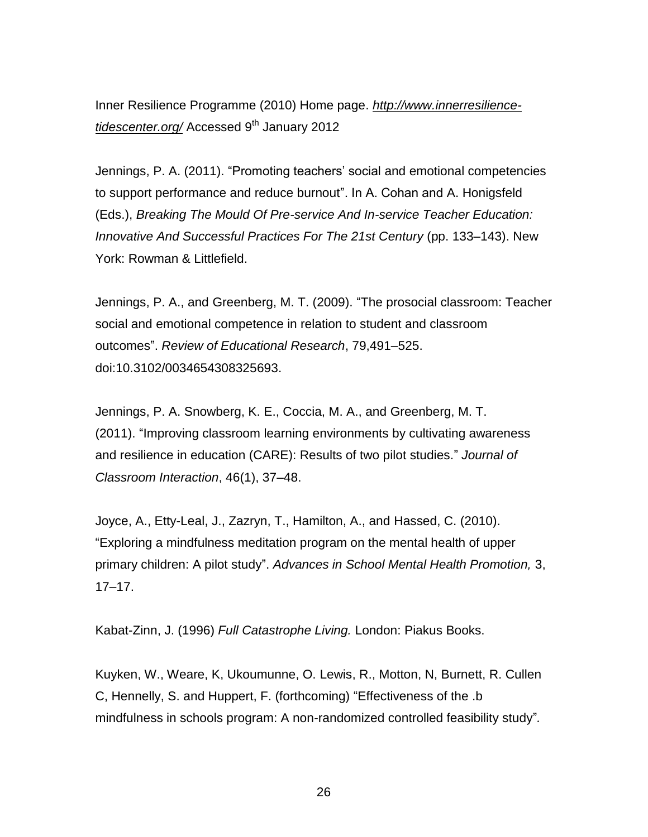Inner Resilience Programme (2010) Home page. *[http://www.innerresilience](http://www.innerresilience-tidescenter.org/)[tidescenter.org/](http://www.innerresilience-tidescenter.org/)* Accessed 9<sup>th</sup> January 2012

Jennings, P. A. (2011). "Promoting teachers' social and emotional competencies to support performance and reduce burnout". In A. Cohan and A. Honigsfeld (Eds.), *Breaking The Mould Of Pre-service And In-service Teacher Education: Innovative And Successful Practices For The 21st Century* (pp. 133–143). New York: Rowman & Littlefield.

Jennings, P. A., and Greenberg, M. T. (2009). "The prosocial classroom: Teacher social and emotional competence in relation to student and classroom outcomes". *Review of Educational Research*, 79,491–525. doi:10.3102/0034654308325693.

Jennings, P. A. Snowberg, K. E., Coccia, M. A., and Greenberg, M. T. (2011). "Improving classroom learning environments by cultivating awareness and resilience in education (CARE): Results of two pilot studies." *Journal of Classroom Interaction*, 46(1), 37–48.

Joyce, A., Etty-Leal, J., Zazryn, T., Hamilton, A., and Hassed, C. (2010). "Exploring a mindfulness meditation program on the mental health of upper primary children: A pilot study". *Advances in School Mental Health Promotion,* 3, 17–17.

Kabat-Zinn, J. (1996) *Full Catastrophe Living.* London: Piakus Books.

Kuyken, W., Weare, K, Ukoumunne, O. Lewis, R., Motton, N, Burnett, R. Cullen C, Hennelly, S. and Huppert, F. (forthcoming) "Effectiveness of the .b mindfulness in schools program: A non-randomized controlled feasibility study"*.*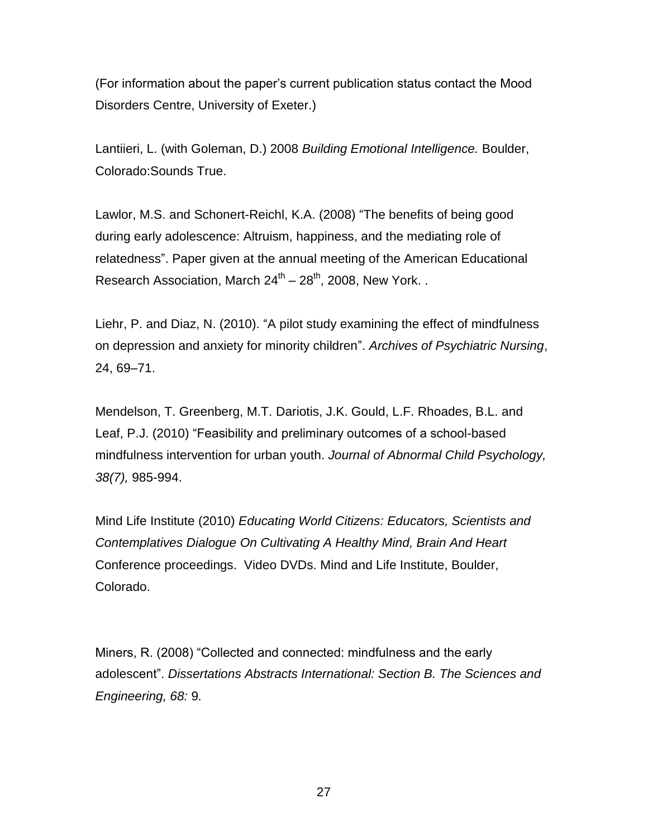(For information about the paper's current publication status contact the Mood Disorders Centre, University of Exeter.)

Lantiieri, L. (with Goleman, D.) 2008 *Building Emotional Intelligence.* Boulder, Colorado:Sounds True.

Lawlor, M.S. and Schonert-Reichl, K.A. (2008) "The benefits of being good during early adolescence: Altruism, happiness, and the mediating role of relatedness". Paper given at the annual meeting of the American Educational Research Association, March 24<sup>th</sup> – 28<sup>th</sup>, 2008, New York...

Liehr, P. and Diaz, N. (2010). "A pilot study examining the effect of mindfulness on depression and anxiety for minority children". *Archives of Psychiatric Nursing*, 24, 69–71.

Mendelson, T. Greenberg, M.T. Dariotis, J.K. Gould, L.F. Rhoades, B.L. and Leaf, P.J. (2010) "Feasibility and preliminary outcomes of a school-based mindfulness intervention for urban youth. *Journal of Abnormal Child Psychology, 38(7),* 985-994.

Mind Life Institute (2010) *Educating World Citizens: Educators, Scientists and Contemplatives Dialogue On Cultivating A Healthy Mind, Brain And Heart* Conference proceedings. Video DVDs. Mind and Life Institute, Boulder, Colorado.

Miners, R. (2008) "Collected and connected: mindfulness and the early adolescent". *Dissertations Abstracts International: Section B. The Sciences and Engineering, 68:* 9*.*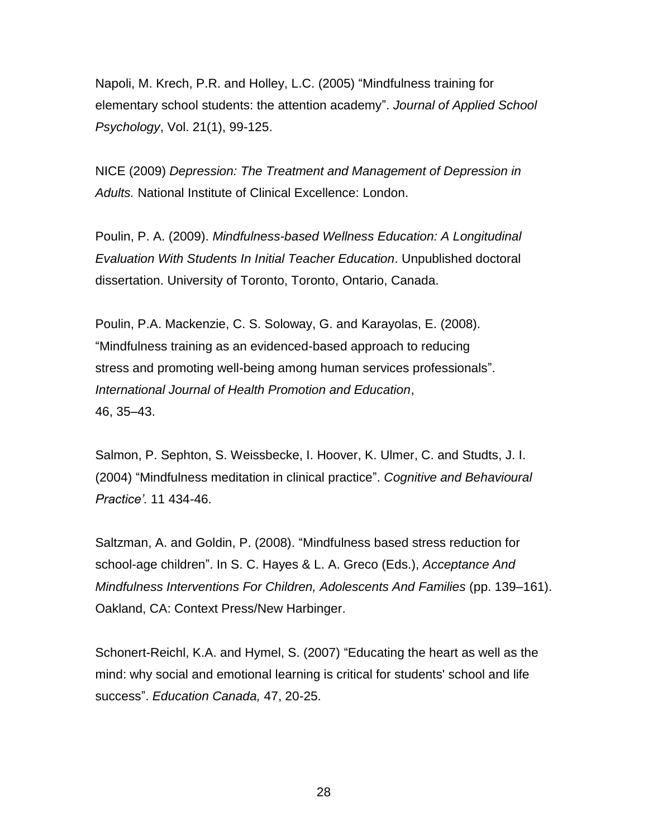Napoli, M. Krech, P.R. and Holley, L.C. (2005) "Mindfulness training for elementary school students: the attention academy". *Journal of Applied School Psychology*, Vol. 21(1), 99-125.

NICE (2009) *Depression: The Treatment and Management of Depression in Adults.* National Institute of Clinical Excellence: London.

Poulin, P. A. (2009). *Mindfulness-based Wellness Education: A Longitudinal Evaluation With Students In Initial Teacher Education*. Unpublished doctoral dissertation. University of Toronto, Toronto, Ontario, Canada.

Poulin, P.A. Mackenzie, C. S. Soloway, G. and Karayolas, E. (2008). "Mindfulness training as an evidenced-based approach to reducing stress and promoting well-being among human services professionals". *International Journal of Health Promotion and Education*, 46, 35–43.

Salmon, P. Sephton, S. Weissbecke, I. Hoover, K. Ulmer, C. and Studts, J. I. (2004) "Mindfulness meditation in clinical practice". *Cognitive and Behavioural Practice'.* 11 434-46.

Saltzman, A. and Goldin, P. (2008). "Mindfulness based stress reduction for school-age children". In S. C. Hayes & L. A. Greco (Eds.), *Acceptance And Mindfulness Interventions For Children, Adolescents And Families (pp. 139–161).* Oakland, CA: Context Press/New Harbinger.

Schonert-Reichl, K.A. and Hymel, S. (2007) "Educating the heart as well as the mind: why social and emotional learning is critical for students' school and life success". *Education Canada,* 47, 20-25.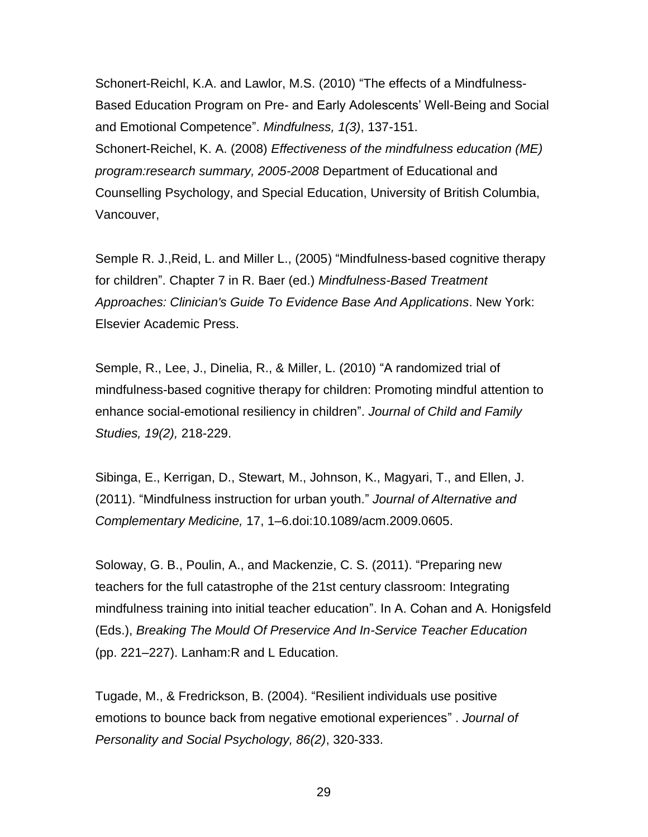Schonert-Reichl, K.A. and Lawlor, M.S. (2010) "The effects of a Mindfulness-Based Education Program on Pre- and Early Adolescents' Well-Being and Social and Emotional Competence". *Mindfulness, 1(3)*, 137-151. Schonert-Reichel, K. A. (2008) *Effectiveness of the mindfulness education (ME) program:research summary, 2005-2008* Department of Educational and Counselling Psychology, and Special Education, University of British Columbia, Vancouver,

Semple R. J.,Reid, L. and Miller L., (2005) "Mindfulness-based cognitive therapy for children". Chapter 7 in R. Baer (ed.) *Mindfulness-Based Treatment Approaches: Clinician's Guide To Evidence Base And Applications*. New York: Elsevier Academic Press.

Semple, R., Lee, J., Dinelia, R., & Miller, L. (2010) "A randomized trial of mindfulness-based cognitive therapy for children: Promoting mindful attention to enhance social-emotional resiliency in children". *Journal of Child and Family Studies, 19(2),* 218-229.

Sibinga, E., Kerrigan, D., Stewart, M., Johnson, K., Magyari, T., and Ellen, J. (2011). "Mindfulness instruction for urban youth." *Journal of Alternative and Complementary Medicine,* 17, 1–6.doi:10.1089/acm.2009.0605.

Soloway, G. B., Poulin, A., and Mackenzie, C. S. (2011). "Preparing new teachers for the full catastrophe of the 21st century classroom: Integrating mindfulness training into initial teacher education". In A. Cohan and A. Honigsfeld (Eds.), *Breaking The Mould Of Preservice And In-Service Teacher Education* (pp. 221–227). Lanham:R and L Education.

Tugade, M., & Fredrickson, B. (2004). "Resilient individuals use positive emotions to bounce back from negative emotional experiences" . *Journal of Personality and Social Psychology, 86(2)*, 320-333.